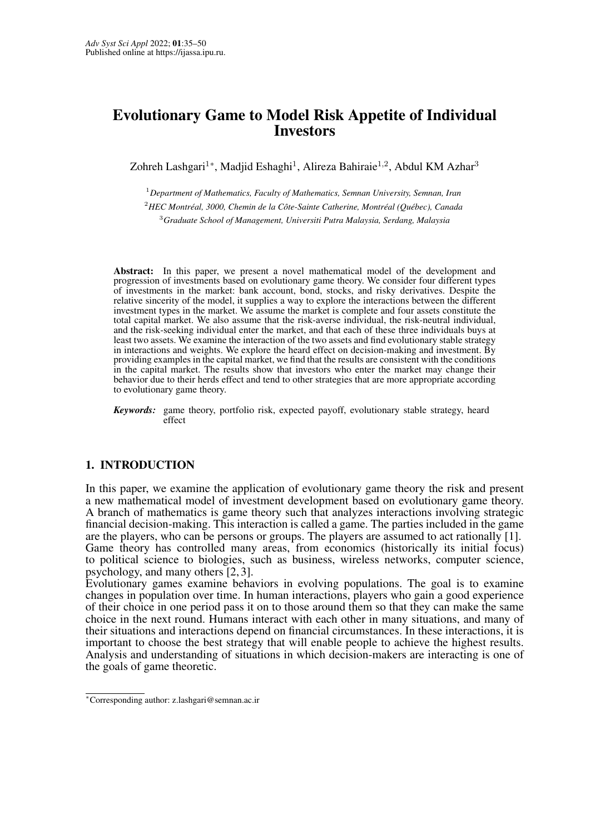# <span id="page-0-0"></span>Evolutionary Game to Model Risk Appetite of Individual Investors

Zohreh Lashgari<sup>1</sup>\*, Madjid Eshaghi<sup>1</sup>, Alireza Bahiraie<sup>1,2</sup>, Abdul KM Azhar<sup>3</sup>

<sup>1</sup>*Department of Mathematics, Faculty of Mathematics, Semnan University, Semnan, Iran* <sup>2</sup>*HEC Montreal, 3000, Chemin de la C ´ ote-Sainte Catherine, Montr ˆ eal (Qu ´ ebec), Canada ´* <sup>3</sup>*Graduate School of Management, Universiti Putra Malaysia, Serdang, Malaysia*

Abstract: In this paper, we present a novel mathematical model of the development and progression of investments based on evolutionary game theory. We consider four different types of investments in the market: bank account, bond, stocks, and risky derivatives. Despite the relative sincerity of the model, it supplies a way to explore the interactions between the different investment types in the market. We assume the market is complete and four assets constitute the total capital market. We also assume that the risk-averse individual, the risk-neutral individual, and the risk-seeking individual enter the market, and that each of these three individuals buys at least two assets. We examine the interaction of the two assets and find evolutionary stable strategy in interactions and weights. We explore the heard effect on decision-making and investment. By providing examples in the capital market, we find that the results are consistent with the conditions in the capital market. The results show that investors who enter the market may change their behavior due to their herds effect and tend to other strategies that are more appropriate according to evolutionary game theory.

*Keywords:* game theory, portfolio risk, expected payoff, evolutionary stable strategy, heard effect

## 1. INTRODUCTION

In this paper, we examine the application of evolutionary game theory the risk and present a new mathematical model of investment development based on evolutionary game theory. A branch of mathematics is game theory such that analyzes interactions involving strategic financial decision-making. This interaction is called a game. The parties included in the game are the players, who can be persons or groups. The players are assumed to act rationally [\[1\]](#page-13-0). Game theory has controlled many areas, from economics (historically its initial focus) to political science to biologies, such as business, wireless networks, computer science, psychology, and many others [\[2,](#page-13-1) [3\]](#page-13-2).

Evolutionary games examine behaviors in evolving populations. The goal is to examine changes in population over time. In human interactions, players who gain a good experience of their choice in one period pass it on to those around them so that they can make the same choice in the next round. Humans interact with each other in many situations, and many of their situations and interactions depend on financial circumstances. In these interactions, it is important to choose the best strategy that will enable people to achieve the highest results. Analysis and understanding of situations in which decision-makers are interacting is one of the goals of game theoretic.

<sup>∗</sup>Corresponding author: z.lashgari@semnan.ac.ir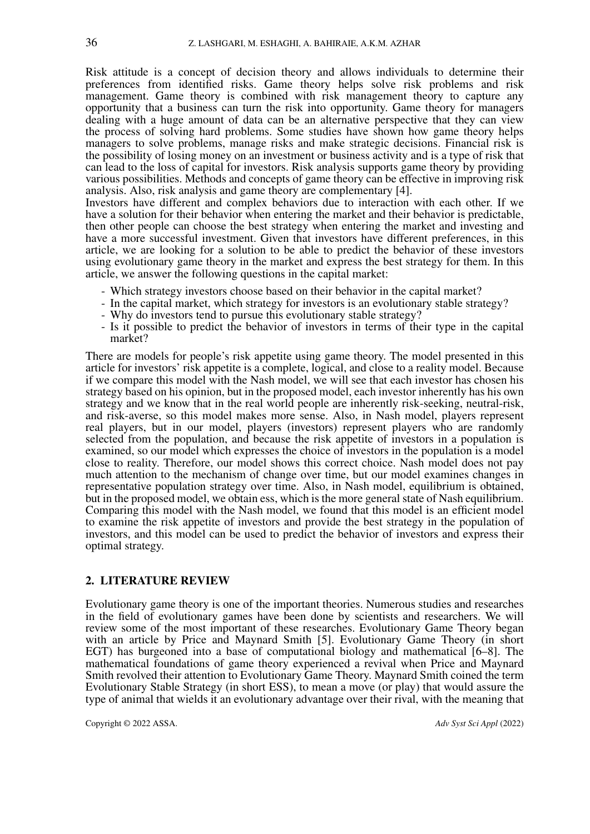Risk attitude is a concept of decision theory and allows individuals to determine their preferences from identified risks. Game theory helps solve risk problems and risk management. Game theory is combined with risk management theory to capture any opportunity that a business can turn the risk into opportunity. Game theory for managers dealing with a huge amount of data can be an alternative perspective that they can view the process of solving hard problems. Some studies have shown how game theory helps managers to solve problems, manage risks and make strategic decisions. Financial risk is the possibility of losing money on an investment or business activity and is a type of risk that can lead to the loss of capital for investors. Risk analysis supports game theory by providing various possibilities. Methods and concepts of game theory can be effective in improving risk analysis. Also, risk analysis and game theory are complementary [\[4\]](#page-13-3).

Investors have different and complex behaviors due to interaction with each other. If we have a solution for their behavior when entering the market and their behavior is predictable, then other people can choose the best strategy when entering the market and investing and have a more successful investment. Given that investors have different preferences, in this article, we are looking for a solution to be able to predict the behavior of these investors using evolutionary game theory in the market and express the best strategy for them. In this article, we answer the following questions in the capital market:

- Which strategy investors choose based on their behavior in the capital market?
- In the capital market, which strategy for investors is an evolutionary stable strategy?
- Why do investors tend to pursue this evolutionary stable strategy?
- Is it possible to predict the behavior of investors in terms of their type in the capital market?

There are models for people's risk appetite using game theory. The model presented in this article for investors' risk appetite is a complete, logical, and close to a reality model. Because if we compare this model with the Nash model, we will see that each investor has chosen his strategy based on his opinion, but in the proposed model, each investor inherently has his own strategy and we know that in the real world people are inherently risk-seeking, neutral-risk, and risk-averse, so this model makes more sense. Also, in Nash model, players represent real players, but in our model, players (investors) represent players who are randomly selected from the population, and because the risk appetite of investors in a population is examined, so our model which expresses the choice of investors in the population is a model close to reality. Therefore, our model shows this correct choice. Nash model does not pay much attention to the mechanism of change over time, but our model examines changes in representative population strategy over time. Also, in Nash model, equilibrium is obtained, but in the proposed model, we obtain ess, which is the more general state of Nash equilibrium. Comparing this model with the Nash model, we found that this model is an efficient model to examine the risk appetite of investors and provide the best strategy in the population of investors, and this model can be used to predict the behavior of investors and express their optimal strategy.

#### 2. LITERATURE REVIEW

Evolutionary game theory is one of the important theories. Numerous studies and researches in the field of evolutionary games have been done by scientists and researchers. We will review some of the most important of these researches. Evolutionary Game Theory began with an article by Price and Maynard Smith [\[5\]](#page-13-4). Evolutionary Game Theory (in short EGT) has burgeoned into a base of computational biology and mathematical [\[6](#page-13-5)[–8\]](#page-13-6). The mathematical foundations of game theory experienced a revival when Price and Maynard Smith revolved their attention to Evolutionary Game Theory. Maynard Smith coined the term Evolutionary Stable Strategy (in short ESS), to mean a move (or play) that would assure the type of animal that wields it an evolutionary advantage over their rival, with the meaning that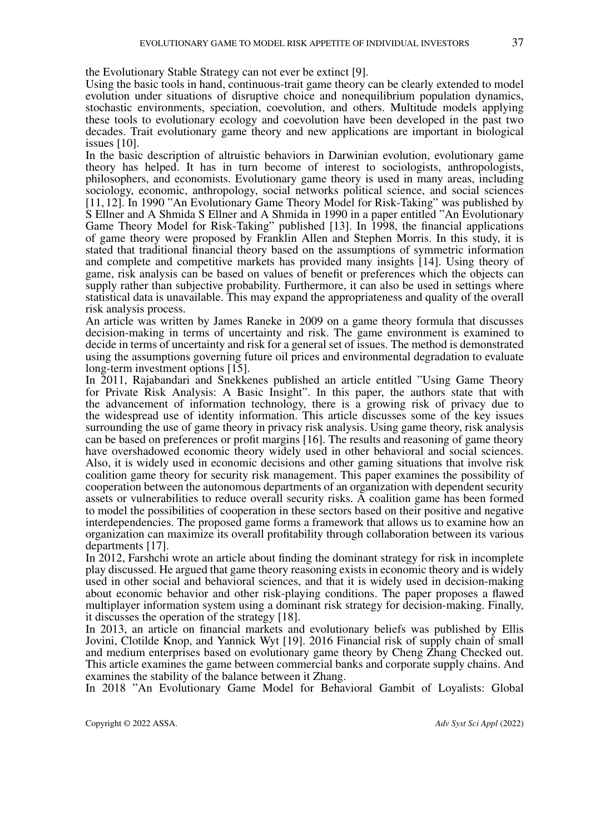the Evolutionary Stable Strategy can not ever be extinct [\[9\]](#page-13-7).

Using the basic tools in hand, continuous-trait game theory can be clearly extended to model evolution under situations of disruptive choice and nonequilibrium population dynamics, stochastic environments, speciation, coevolution, and others. Multitude models applying these tools to evolutionary ecology and coevolution have been developed in the past two decades. Trait evolutionary game theory and new applications are important in biological issues [\[10\]](#page-13-8).

In the basic description of altruistic behaviors in Darwinian evolution, evolutionary game theory has helped. It has in turn become of interest to sociologists, anthropologists, philosophers, and economists. Evolutionary game theory is used in many areas, including sociology, economic, anthropology, social networks political science, and social sciences [\[11,](#page-13-9) [12\]](#page-13-10). In 1990 "An Evolutionary Game Theory Model for Risk-Taking" was published by S Ellner and A Shmida S Ellner and A Shmida in 1990 in a paper entitled "An Evolutionary Game Theory Model for Risk-Taking" published [\[13\]](#page-13-11). In 1998, the financial applications of game theory were proposed by Franklin Allen and Stephen Morris. In this study, it is stated that traditional financial theory based on the assumptions of symmetric information and complete and competitive markets has provided many insights [\[14\]](#page-13-12). Using theory of game, risk analysis can be based on values of benefit or preferences which the objects can supply rather than subjective probability. Furthermore, it can also be used in settings where statistical data is unavailable. This may expand the appropriateness and quality of the overall risk analysis process.

An article was written by James Raneke in 2009 on a game theory formula that discusses decision-making in terms of uncertainty and risk. The game environment is examined to decide in terms of uncertainty and risk for a general set of issues. The method is demonstrated using the assumptions governing future oil prices and environmental degradation to evaluate long-term investment options [\[15\]](#page-14-0).

In 2011, Rajabandari and Snekkenes published an article entitled "Using Game Theory for Private Risk Analysis: A Basic Insight". In this paper, the authors state that with the advancement of information technology, there is a growing risk of privacy due to the widespread use of identity information. This article discusses some of the key issues surrounding the use of game theory in privacy risk analysis. Using game theory, risk analysis can be based on preferences or profit margins [\[16\]](#page-14-1). The results and reasoning of game theory have overshadowed economic theory widely used in other behavioral and social sciences. Also, it is widely used in economic decisions and other gaming situations that involve risk coalition game theory for security risk management. This paper examines the possibility of cooperation between the autonomous departments of an organization with dependent security assets or vulnerabilities to reduce overall security risks. A coalition game has been formed to model the possibilities of cooperation in these sectors based on their positive and negative interdependencies. The proposed game forms a framework that allows us to examine how an organization can maximize its overall profitability through collaboration between its various departments [\[17\]](#page-14-2).

In 2012, Farshchi wrote an article about finding the dominant strategy for risk in incomplete play discussed. He argued that game theory reasoning exists in economic theory and is widely used in other social and behavioral sciences, and that it is widely used in decision-making about economic behavior and other risk-playing conditions. The paper proposes a flawed multiplayer information system using a dominant risk strategy for decision-making. Finally, it discusses the operation of the strategy [\[18\]](#page-14-3).

In 2013, an article on financial markets and evolutionary beliefs was published by Ellis Jovini, Clotilde Knop, and Yannick Wyt [\[19\]](#page-14-4). 2016 Financial risk of supply chain of small and medium enterprises based on evolutionary game theory by Cheng Zhang Checked out. This article examines the game between commercial banks and corporate supply chains. And examines the stability of the balance between it Zhang.

In 2018 "An Evolutionary Game Model for Behavioral Gambit of Loyalists: Global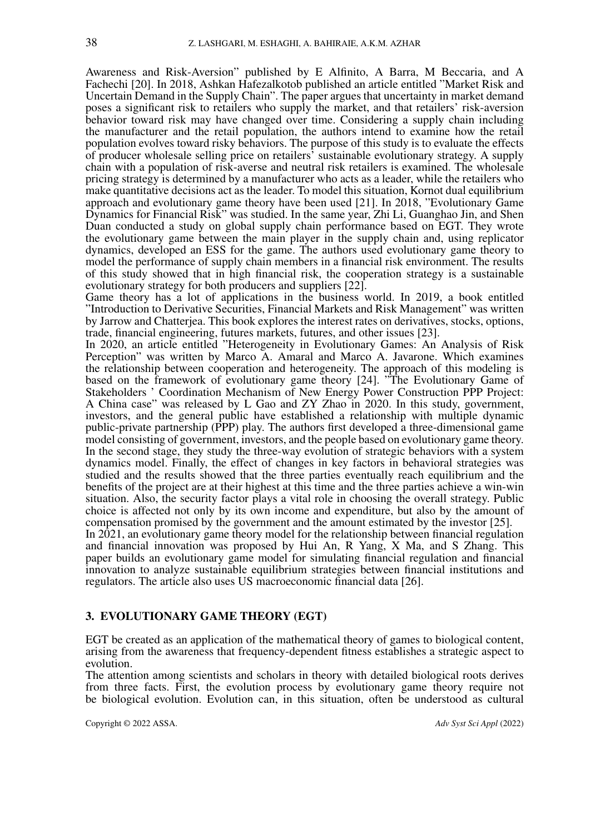Awareness and Risk-Aversion" published by E Alfinito, A Barra, M Beccaria, and A Fachechi [\[20\]](#page-14-5). In 2018, Ashkan Hafezalkotob published an article entitled "Market Risk and Uncertain Demand in the Supply Chain". The paper argues that uncertainty in market demand poses a significant risk to retailers who supply the market, and that retailers' risk-aversion behavior toward risk may have changed over time. Considering a supply chain including the manufacturer and the retail population, the authors intend to examine how the retail population evolves toward risky behaviors. The purpose of this study is to evaluate the effects of producer wholesale selling price on retailers' sustainable evolutionary strategy. A supply chain with a population of risk-averse and neutral risk retailers is examined. The wholesale pricing strategy is determined by a manufacturer who acts as a leader, while the retailers who make quantitative decisions act as the leader. To model this situation, Kornot dual equilibrium approach and evolutionary game theory have been used [\[21\]](#page-14-6). In 2018, "Evolutionary Game Dynamics for Financial Risk" was studied. In the same year, Zhi Li, Guanghao Jin, and Shen Duan conducted a study on global supply chain performance based on EGT. They wrote the evolutionary game between the main player in the supply chain and, using replicator dynamics, developed an ESS for the game. The authors used evolutionary game theory to model the performance of supply chain members in a financial risk environment. The results of this study showed that in high financial risk, the cooperation strategy is a sustainable evolutionary strategy for both producers and suppliers [\[22\]](#page-14-7).

Game theory has a lot of applications in the business world. In 2019, a book entitled "Introduction to Derivative Securities, Financial Markets and Risk Management" was written by Jarrow and Chatterjea. This book explores the interest rates on derivatives, stocks, options, trade, financial engineering, futures markets, futures, and other issues [\[23\]](#page-14-8).

In 2020, an article entitled "Heterogeneity in Evolutionary Games: An Analysis of Risk Perception" was written by Marco A. Amaral and Marco A. Javarone. Which examines the relationship between cooperation and heterogeneity. The approach of this modeling is based on the framework of evolutionary game theory [\[24\]](#page-14-9). "The Evolutionary Game of Stakeholders ' Coordination Mechanism of New Energy Power Construction PPP Project: A China case" was released by L Gao and ZY Zhao in 2020. In this study, government, investors, and the general public have established a relationship with multiple dynamic public-private partnership (PPP) play. The authors first developed a three-dimensional game model consisting of government, investors, and the people based on evolutionary game theory. In the second stage, they study the three-way evolution of strategic behaviors with a system dynamics model. Finally, the effect of changes in key factors in behavioral strategies was studied and the results showed that the three parties eventually reach equilibrium and the benefits of the project are at their highest at this time and the three parties achieve a win-win situation. Also, the security factor plays a vital role in choosing the overall strategy. Public choice is affected not only by its own income and expenditure, but also by the amount of compensation promised by the government and the amount estimated by the investor [\[25\]](#page-14-10).

In 2021, an evolutionary game theory model for the relationship between financial regulation and financial innovation was proposed by Hui An, R Yang, X Ma, and S Zhang. This paper builds an evolutionary game model for simulating financial regulation and financial innovation to analyze sustainable equilibrium strategies between financial institutions and regulators. The article also uses US macroeconomic financial data [\[26\]](#page-14-11).

## 3. EVOLUTIONARY GAME THEORY (EGT)

EGT be created as an application of the mathematical theory of games to biological content, arising from the awareness that frequency-dependent fitness establishes a strategic aspect to evolution.

The attention among scientists and scholars in theory with detailed biological roots derives from three facts. First, the evolution process by evolutionary game theory require not be biological evolution. Evolution can, in this situation, often be understood as cultural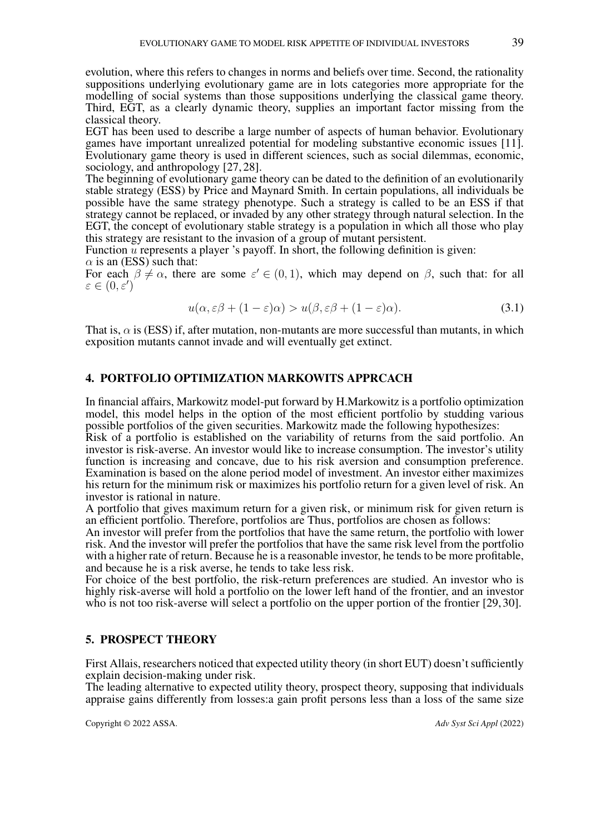evolution, where this refers to changes in norms and beliefs over time. Second, the rationality suppositions underlying evolutionary game are in lots categories more appropriate for the modelling of social systems than those suppositions underlying the classical game theory. Third, EGT, as a clearly dynamic theory, supplies an important factor missing from the classical theory.

EGT has been used to describe a large number of aspects of human behavior. Evolutionary games have important unrealized potential for modeling substantive economic issues [\[11\]](#page-13-9). Evolutionary game theory is used in different sciences, such as social dilemmas, economic, sociology, and anthropology [\[27,](#page-14-12) [28\]](#page-14-13).

The beginning of evolutionary game theory can be dated to the definition of an evolutionarily stable strategy (ESS) by Price and Maynard Smith. In certain populations, all individuals be possible have the same strategy phenotype. Such a strategy is called to be an ESS if that strategy cannot be replaced, or invaded by any other strategy through natural selection. In the EGT, the concept of evolutionary stable strategy is a population in which all those who play this strategy are resistant to the invasion of a group of mutant persistent.

Function u represents a player 's payoff. In short, the following definition is given:  $\alpha$  is an (ESS) such that:

For each  $\beta \neq \alpha$ , there are some  $\varepsilon' \in (0,1)$ , which may depend on  $\beta$ , such that: for all  $\varepsilon \in (0, \varepsilon')$ 

$$
u(\alpha, \varepsilon \beta + (1 - \varepsilon)\alpha) > u(\beta, \varepsilon \beta + (1 - \varepsilon)\alpha). \tag{3.1}
$$

That is,  $\alpha$  is (ESS) if, after mutation, non-mutants are more successful than mutants, in which exposition mutants cannot invade and will eventually get extinct.

## 4. PORTFOLIO OPTIMIZATION MARKOWITS APPRCACH

In financial affairs, Markowitz model-put forward by H.Markowitz is a portfolio optimization model, this model helps in the option of the most efficient portfolio by studding various possible portfolios of the given securities. Markowitz made the following hypothesizes:

Risk of a portfolio is established on the variability of returns from the said portfolio. An investor is risk-averse. An investor would like to increase consumption. The investor's utility function is increasing and concave, due to his risk aversion and consumption preference. Examination is based on the alone period model of investment. An investor either maximizes his return for the minimum risk or maximizes his portfolio return for a given level of risk. An investor is rational in nature.

A portfolio that gives maximum return for a given risk, or minimum risk for given return is an efficient portfolio. Therefore, portfolios are Thus, portfolios are chosen as follows:

An investor will prefer from the portfolios that have the same return, the portfolio with lower risk. And the investor will prefer the portfolios that have the same risk level from the portfolio with a higher rate of return. Because he is a reasonable investor, he tends to be more profitable, and because he is a risk averse, he tends to take less risk.

For choice of the best portfolio, the risk-return preferences are studied. An investor who is highly risk-averse will hold a portfolio on the lower left hand of the frontier, and an investor who is not too risk-averse will select a portfolio on the upper portion of the frontier [\[29,](#page-14-14) [30\]](#page-14-15).

## 5. PROSPECT THEORY

First Allais, researchers noticed that expected utility theory (in short EUT) doesn't sufficiently explain decision-making under risk.

The leading alternative to expected utility theory, prospect theory, supposing that individuals appraise gains differently from losses:a gain profit persons less than a loss of the same size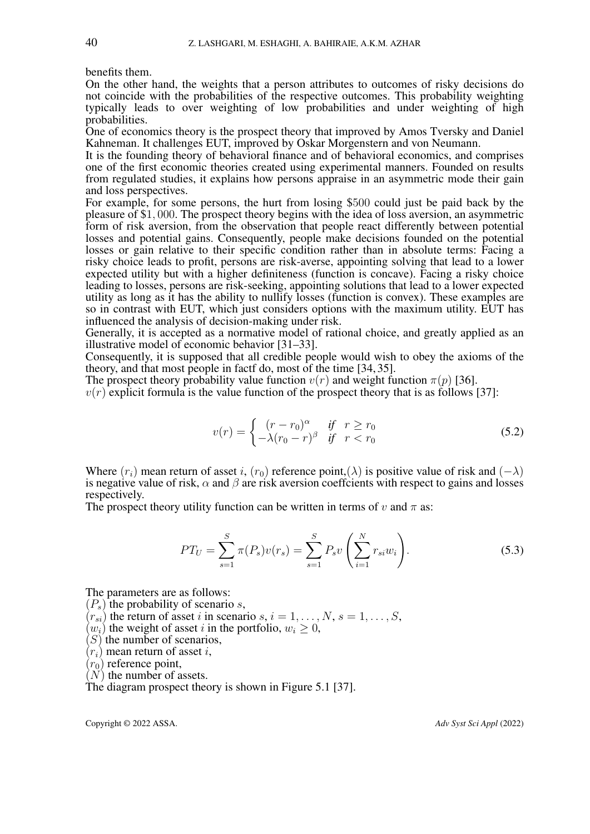benefits them.

On the other hand, the weights that a person attributes to outcomes of risky decisions do not coincide with the probabilities of the respective outcomes. This probability weighting typically leads to over weighting of low probabilities and under weighting of high probabilities.

One of economics theory is the prospect theory that improved by Amos Tversky and Daniel Kahneman. It challenges EUT, improved by Oskar Morgenstern and von Neumann.

It is the founding theory of behavioral finance and of behavioral economics, and comprises one of the first economic theories created using experimental manners. Founded on results from regulated studies, it explains how persons appraise in an asymmetric mode their gain and loss perspectives.

For example, for some persons, the hurt from losing \$500 could just be paid back by the pleasure of \$1, 000. The prospect theory begins with the idea of loss aversion, an asymmetric form of risk aversion, from the observation that people react differently between potential losses and potential gains. Consequently, people make decisions founded on the potential losses or gain relative to their specific condition rather than in absolute terms: Facing a risky choice leads to profit, persons are risk-averse, appointing solving that lead to a lower expected utility but with a higher definiteness (function is concave). Facing a risky choice leading to losses, persons are risk-seeking, appointing solutions that lead to a lower expected utility as long as it has the ability to nullify losses (function is convex). These examples are so in contrast with EUT, which just considers options with the maximum utility. EUT has influenced the analysis of decision-making under risk.

Generally, it is accepted as a normative model of rational choice, and greatly applied as an illustrative model of economic behavior [\[31–](#page-14-16)[33\]](#page-15-0).

Consequently, it is supposed that all credible people would wish to obey the axioms of the theory, and that most people in factf do, most of the time [\[34,](#page-15-1) [35\]](#page-15-2).

The prospect theory probability value function  $v(r)$  and weight function  $\pi(p)$  [\[36\]](#page-15-3).

 $v(r)$  explicit formula is the value function of the prospect theory that is as follows [\[37\]](#page-15-4):

$$
v(r) = \begin{cases} (r - r_0)^{\alpha} & \text{if } r \ge r_0 \\ -\lambda (r_0 - r)^{\beta} & \text{if } r < r_0 \end{cases}
$$
 (5.2)

Where  $(r_i)$  mean return of asset i,  $(r_0)$  reference point,  $(\lambda)$  is positive value of risk and  $(-\lambda)$ is negative value of risk,  $\alpha$  and  $\beta$  are risk aversion coeffcients with respect to gains and losses respectively.

The prospect theory utility function can be written in terms of v and  $\pi$  as:

$$
PT_{U} = \sum_{s=1}^{S} \pi(P_{s})v(r_{s}) = \sum_{s=1}^{S} P_{s}v\left(\sum_{i=1}^{N} r_{si}w_{i}\right).
$$
 (5.3)

The parameters are as follows:

 $(P_s)$  the probability of scenario s,

- $(r_{si})$  the return of asset i in scenario s,  $i = 1, \ldots, N$ ,  $s = 1, \ldots, S$ ,
- $(w_i)$  the weight of asset i in the portfolio,  $w_i \geq 0$ ,
- $(S)$  the number of scenarios,
- $(r_i)$  mean return of asset i,

 $(r_0)$  reference point,

 $(N)$  the number of assets.

The diagram prospect theory is shown in Figure [5.1](#page-6-0) [\[37\]](#page-15-4).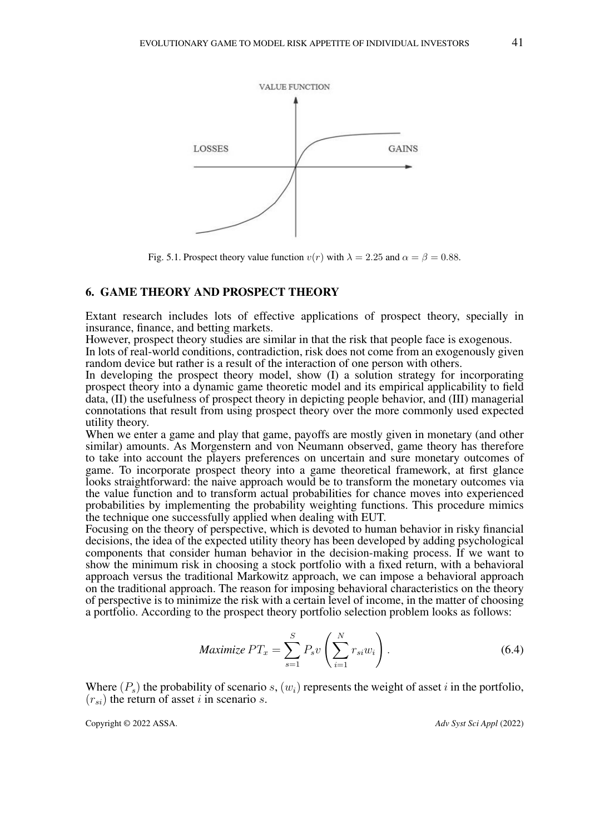<span id="page-6-0"></span>

Fig. 5.1. Prospect theory value function  $v(r)$  with  $\lambda = 2.25$  and  $\alpha = \beta = 0.88$ .

### 6. GAME THEORY AND PROSPECT THEORY

Extant research includes lots of effective applications of prospect theory, specially in insurance, finance, and betting markets.

However, prospect theory studies are similar in that the risk that people face is exogenous.

In lots of real-world conditions, contradiction, risk does not come from an exogenously given random device but rather is a result of the interaction of one person with others.

In developing the prospect theory model, show (I) a solution strategy for incorporating prospect theory into a dynamic game theoretic model and its empirical applicability to field data, (II) the usefulness of prospect theory in depicting people behavior, and (III) managerial connotations that result from using prospect theory over the more commonly used expected utility theory.

When we enter a game and play that game, payoffs are mostly given in monetary (and other similar) amounts. As Morgenstern and von Neumann observed, game theory has therefore to take into account the players preferences on uncertain and sure monetary outcomes of game. To incorporate prospect theory into a game theoretical framework, at first glance looks straightforward: the naive approach would be to transform the monetary outcomes via the value function and to transform actual probabilities for chance moves into experienced probabilities by implementing the probability weighting functions. This procedure mimics the technique one successfully applied when dealing with EUT.

Focusing on the theory of perspective, which is devoted to human behavior in risky financial decisions, the idea of the expected utility theory has been developed by adding psychological components that consider human behavior in the decision-making process. If we want to show the minimum risk in choosing a stock portfolio with a fixed return, with a behavioral approach versus the traditional Markowitz approach, we can impose a behavioral approach on the traditional approach. The reason for imposing behavioral characteristics on the theory of perspective is to minimize the risk with a certain level of income, in the matter of choosing a portfolio. According to the prospect theory portfolio selection problem looks as follows:

$$
Maximize PT_x = \sum_{s=1}^{S} P_s v \left( \sum_{i=1}^{N} r_{si} w_i \right).
$$
 (6.4)

Where  $(P_s)$  the probability of scenario s,  $(w_i)$  represents the weight of asset i in the portfolio,  $(r_{si})$  the return of asset i in scenario s.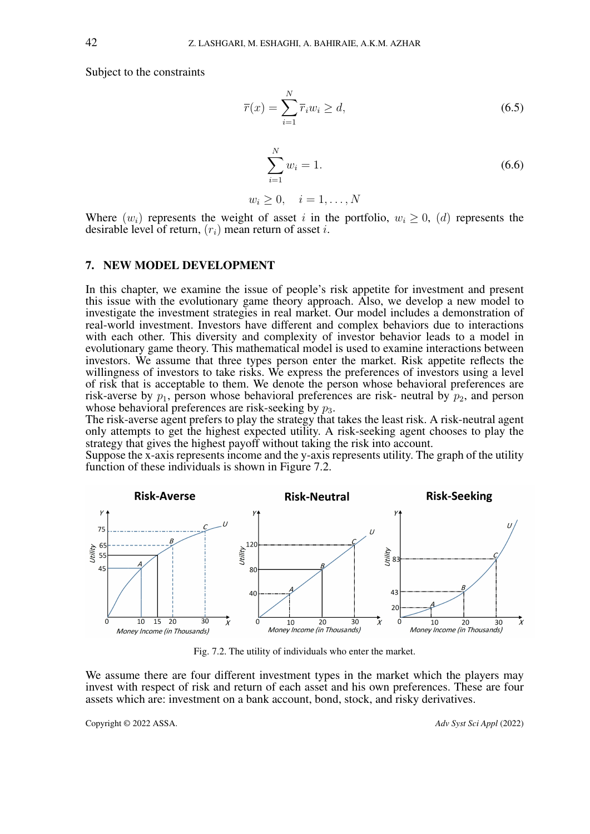Subject to the constraints

$$
\overline{r}(x) = \sum_{i=1}^{N} \overline{r}_i w_i \ge d,\tag{6.5}
$$

$$
\sum_{i=1}^{N} w_i = 1.
$$
\n(6.6)

$$
w_i \geq 0, \quad i = 1, \dots, N
$$

Where  $(w_i)$  represents the weight of asset i in the portfolio,  $w_i \geq 0$ , (d) represents the desirable level of return,  $(r_i)$  mean return of asset i.

## 7. NEW MODEL DEVELOPMENT

In this chapter, we examine the issue of people's risk appetite for investment and present this issue with the evolutionary game theory approach. Also, we develop a new model to investigate the investment strategies in real market. Our model includes a demonstration of real-world investment. Investors have different and complex behaviors due to interactions with each other. This diversity and complexity of investor behavior leads to a model in evolutionary game theory. This mathematical model is used to examine interactions between investors. We assume that three types person enter the market. Risk appetite reflects the willingness of investors to take risks. We express the preferences of investors using a level of risk that is acceptable to them. We denote the person whose behavioral preferences are risk-averse by  $p_1$ , person whose behavioral preferences are risk- neutral by  $p_2$ , and person whose behavioral preferences are risk-seeking by  $p_3$ .

The risk-averse agent prefers to play the strategy that takes the least risk. A risk-neutral agent only attempts to get the highest expected utility. A risk-seeking agent chooses to play the strategy that gives the highest payoff without taking the risk into account.

Suppose the x-axis represents income and the y-axis represents utility. The graph of the utility function of these individuals is shown in Figure [7.2.](#page-7-0)

<span id="page-7-0"></span>

Fig. 7.2. The utility of individuals who enter the market.

We assume there are four different investment types in the market which the players may invest with respect of risk and return of each asset and his own preferences. These are four assets which are: investment on a bank account, bond, stock, and risky derivatives.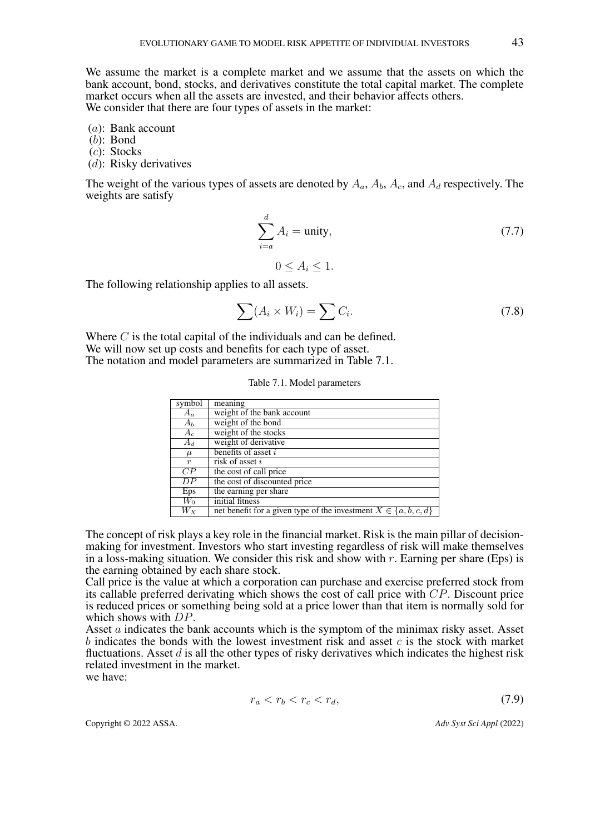We assume the market is a complete market and we assume that the assets on which the bank account, bond, stocks, and derivatives constitute the total capital market. The complete market occurs when all the assets are invested, and their behavior affects others. We consider that there are four types of assets in the market:

(a): Bank account

(b): Bond

(c): Stocks

(d): Risky derivatives

The weight of the various types of assets are denoted by  $A_a$ ,  $A_b$ ,  $A_c$ , and  $A_d$  respectively. The weights are satisfy

$$
\sum_{i=a}^{d} A_i = \text{unity},\tag{7.7}
$$

$$
0 \le A_i \le 1.
$$

The following relationship applies to all assets.

$$
\sum (A_i \times W_i) = \sum C_i. \tag{7.8}
$$

<span id="page-8-0"></span>Where  $C$  is the total capital of the individuals and can be defined. We will now set up costs and benefits for each type of asset. The notation and model parameters are summarized in Table [7.1.](#page-8-0)

|  |  |  | Table 7.1. Model parameters |
|--|--|--|-----------------------------|
|--|--|--|-----------------------------|

| symbol           | meaning                                                               |
|------------------|-----------------------------------------------------------------------|
| $A_a$            | weight of the bank account                                            |
| $A_b$            | weight of the bond                                                    |
| $A_c$            | weight of the stocks                                                  |
| $A_d$            | weight of derivative                                                  |
| $\mu$            | benefits of asset $i$                                                 |
| $\boldsymbol{r}$ | risk of asset $i$                                                     |
| $\overline{CP}$  | the cost of call price                                                |
| DP               | the cost of discounted price                                          |
| Eps              | the earning per share                                                 |
| $W_0$            | initial fitness                                                       |
| $W_X$            | net benefit for a given type of the investment $X \in \{a, b, c, d\}$ |

The concept of risk plays a key role in the financial market. Risk is the main pillar of decisionmaking for investment. Investors who start investing regardless of risk will make themselves in a loss-making situation. We consider this risk and show with  $r$ . Earning per share (Eps) is the earning obtained by each share stock.

Call price is the value at which a corporation can purchase and exercise preferred stock from its callable preferred derivating which shows the cost of call price with  $CP$ . Discount price is reduced prices or something being sold at a price lower than that item is normally sold for which shows with  $DP$ .

Asset a indicates the bank accounts which is the symptom of the minimax risky asset. Asset b indicates the bonds with the lowest investment risk and asset  $c$  is the stock with market fluctuations. Asset  $d$  is all the other types of risky derivatives which indicates the highest risk related investment in the market.

we have:

$$
r_a < r_b < r_c < r_d,\tag{7.9}
$$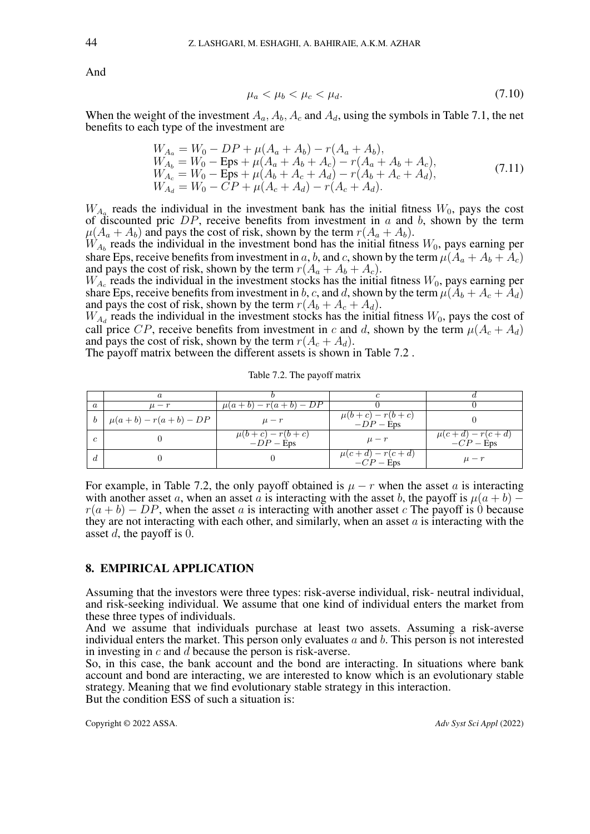And

$$
\mu_a < \mu_b < \mu_c < \mu_d. \tag{7.10}
$$

When the weight of the investment  $A_a$ ,  $A_b$ ,  $A_c$  and  $A_d$ , using the symbols in Table [7.1,](#page-8-0) the net benefits to each type of the investment are

$$
W_{A_a} = W_0 - DP + \mu(A_a + A_b) - r(A_a + A_b),
$$
  
\n
$$
W_{A_b} = W_0 - \text{Eps} + \mu(A_a + A_b + A_c) - r(A_a + A_b + A_c),
$$
  
\n
$$
W_{A_c} = W_0 - \text{Eps} + \mu(A_b + A_c + A_d) - r(A_b + A_c + A_d),
$$
  
\n
$$
W_{A_d} = W_0 - CP + \mu(A_c + A_d) - r(A_c + A_d).
$$
\n(7.11)

 $W_{A_a}$  reads the individual in the investment bank has the initial fitness  $W_0$ , pays the cost of discounted pric  $DP$ , receive benefits from investment in  $a$  and  $b$ , shown by the term  $\mu(A_a + A_b)$  and pays the cost of risk, shown by the term  $r(A_a + A_b)$ .

 $W_{A_b}$  reads the individual in the investment bond has the initial fitness  $W_0$ , pays earning per share Eps, receive benefits from investment in a, b, and c, shown by the term  $\mu(A_a + A_b + A_c)$ and pays the cost of risk, shown by the term  $r(A_a + A_b + A_c)$ .

 $W_{A_c}$  reads the individual in the investment stocks has the initial fitness  $W_0$ , pays earning per share Eps, receive benefits from investment in b, c, and d, shown by the term  $\mu(A_b + A_c + A_d)$ and pays the cost of risk, shown by the term  $r(A_b + A_c + A_d)$ .

 $W_{A_d}$  reads the individual in the investment stocks has the initial fitness  $W_0$ , pays the cost of call price CP, receive benefits from investment in c and d, shown by the term  $\mu(A_c + A_d)$ and pays the cost of risk, shown by the term  $r(A_c + A_d)$ .

<span id="page-9-0"></span>The payoff matrix between the different assets is shown in Table [7.2](#page-9-0) .

|   | $\it a$                         |                                    |                                         |                                    |
|---|---------------------------------|------------------------------------|-----------------------------------------|------------------------------------|
|   | $\mu-r$                         | $\mu(a+b) - r(a+b) - DP$           |                                         |                                    |
|   | $b \mid \mu(a+b) - r(a+b) - DP$ | $\mu-r$                            | $r-r(b+c)$<br>$\mu(b+c)$<br>$-DP$ – Eps |                                    |
|   |                                 | $\mu(b+c) - r(b+c)$<br>$-DP$ – Eps | $\mu-r$                                 | $\mu(c+d) - r(c+d)$<br>$-CP - Eps$ |
| a |                                 |                                    | $\mu(c+d) - r(c+d)$<br>$-CP - Eps$      | $\mu-r$                            |

Table 7.2. The payoff matrix

For example, in Table [7.2,](#page-9-0) the only payoff obtained is  $\mu - r$  when the asset a is interacting with another asset a, when an asset a is interacting with the asset b, the payoff is  $\mu(a + b)$  –  $r(a + b) - DP$ , when the asset a is interacting with another asset c The payoff is 0 because they are not interacting with each other, and similarly, when an asset  $a$  is interacting with the asset d, the payoff is 0.

## 8. EMPIRICAL APPLICATION

Assuming that the investors were three types: risk-averse individual, risk- neutral individual, and risk-seeking individual. We assume that one kind of individual enters the market from these three types of individuals.

And we assume that individuals purchase at least two assets. Assuming a risk-averse individual enters the market. This person only evaluates  $a$  and  $b$ . This person is not interested in investing in c and d because the person is risk-averse.

So, in this case, the bank account and the bond are interacting. In situations where bank account and bond are interacting, we are interested to know which is an evolutionary stable strategy. Meaning that we find evolutionary stable strategy in this interaction. But the condition ESS of such a situation is: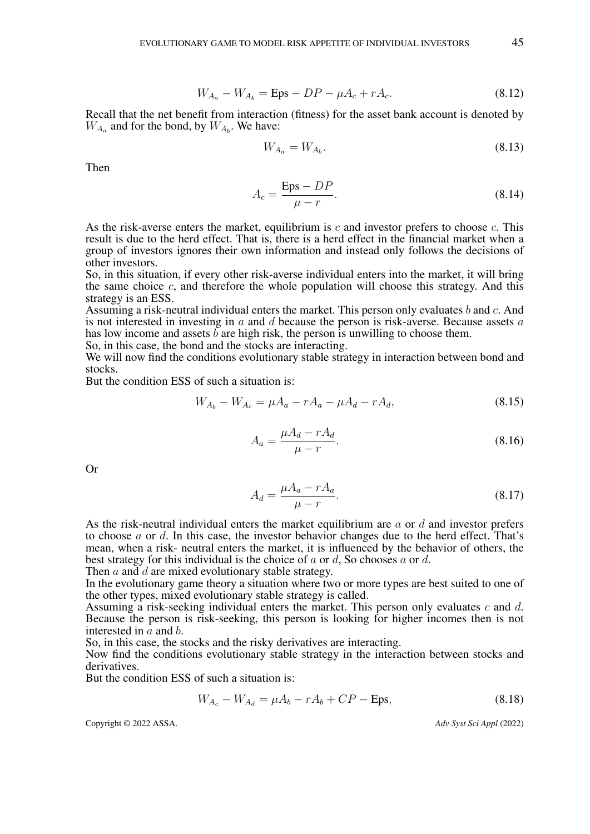$$
W_{A_a} - W_{A_b} = \text{Eps} - DP - \mu A_c + rA_c.
$$
 (8.12)

Recall that the net benefit from interaction (fitness) for the asset bank account is denoted by  $W_{A_a}$  and for the bond, by  $W_{A_b}$ . We have:

$$
W_{A_a} = W_{A_b}.\t\t(8.13)
$$

Then

$$
A_c = \frac{\text{Eps} - DP}{\mu - r}.\tag{8.14}
$$

As the risk-averse enters the market, equilibrium is  $c$  and investor prefers to choose  $c$ . This result is due to the herd effect. That is, there is a herd effect in the financial market when a group of investors ignores their own information and instead only follows the decisions of other investors.

So, in this situation, if every other risk-averse individual enters into the market, it will bring the same choice  $c$ , and therefore the whole population will choose this strategy. And this strategy is an ESS.

Assuming a risk-neutral individual enters the market. This person only evaluates b and c. And is not interested in investing in  $a$  and  $d$  because the person is risk-averse. Because assets  $a$ has low income and assets  $\bar{b}$  are high risk, the person is unwilling to choose them.

So, in this case, the bond and the stocks are interacting.

We will now find the conditions evolutionary stable strategy in interaction between bond and stocks.

But the condition ESS of such a situation is:

$$
W_{A_b} - W_{A_c} = \mu A_a - rA_a - \mu A_d - rA_d, \tag{8.15}
$$

$$
A_a = \frac{\mu A_d - r A_d}{\mu - r}.
$$
\n
$$
(8.16)
$$

Or

$$
A_d = \frac{\mu A_a - r A_a}{\mu - r}.\tag{8.17}
$$

As the risk-neutral individual enters the market equilibrium are a or d and investor prefers to choose a or d. In this case, the investor behavior changes due to the herd effect. That's mean, when a risk- neutral enters the market, it is influenced by the behavior of others, the best strategy for this individual is the choice of  $a$  or  $d$ , So chooses  $a$  or  $d$ .

Then  $a$  and  $d$  are mixed evolutionary stable strategy.

In the evolutionary game theory a situation where two or more types are best suited to one of the other types, mixed evolutionary stable strategy is called.

Assuming a risk-seeking individual enters the market. This person only evaluates  $c$  and  $d$ . Because the person is risk-seeking, this person is looking for higher incomes then is not interested in a and b.

So, in this case, the stocks and the risky derivatives are interacting.

Now find the conditions evolutionary stable strategy in the interaction between stocks and derivatives.

But the condition ESS of such a situation is:

$$
W_{A_c} - W_{A_d} = \mu A_b - rA_b + CP - Eps,
$$
\n(8.18)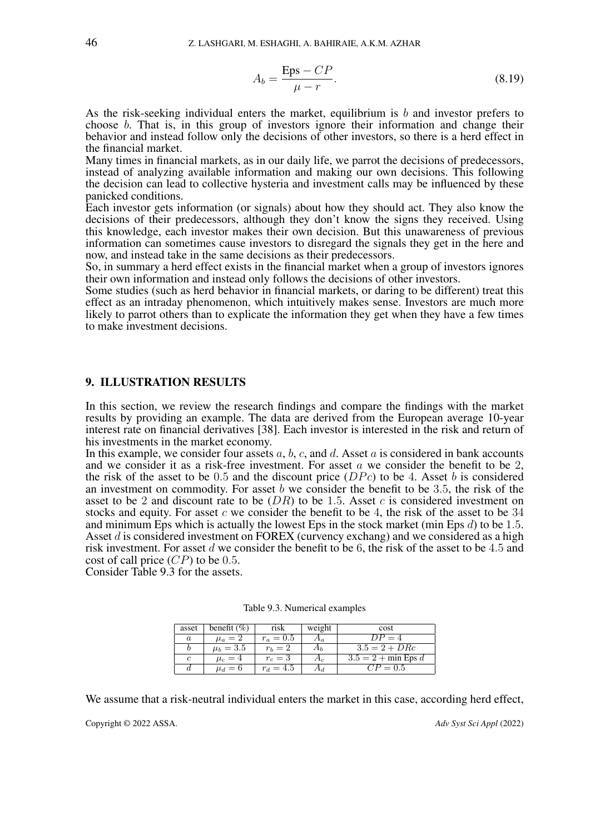$$
A_b = \frac{\text{Eps} - CP}{\mu - r}.
$$
\n(8.19)

As the risk-seeking individual enters the market, equilibrium is b and investor prefers to choose b. That is, in this group of investors ignore their information and change their behavior and instead follow only the decisions of other investors, so there is a herd effect in the financial market.

Many times in financial markets, as in our daily life, we parrot the decisions of predecessors, instead of analyzing available information and making our own decisions. This following the decision can lead to collective hysteria and investment calls may be influenced by these panicked conditions.

Each investor gets information (or signals) about how they should act. They also know the decisions of their predecessors, although they don't know the signs they received. Using this knowledge, each investor makes their own decision. But this unawareness of previous information can sometimes cause investors to disregard the signals they get in the here and now, and instead take in the same decisions as their predecessors.

So, in summary a herd effect exists in the financial market when a group of investors ignores their own information and instead only follows the decisions of other investors.

Some studies (such as herd behavior in financial markets, or daring to be different) treat this effect as an intraday phenomenon, which intuitively makes sense. Investors are much more likely to parrot others than to explicate the information they get when they have a few times to make investment decisions.

## 9. ILLUSTRATION RESULTS

In this section, we review the research findings and compare the findings with the market results by providing an example. The data are derived from the European average 10-year interest rate on financial derivatives [\[38\]](#page-15-5). Each investor is interested in the risk and return of his investments in the market economy.

In this example, we consider four assets  $a, b, c$ , and  $d$ . Asset  $a$  is considered in bank accounts and we consider it as a risk-free investment. For asset  $\alpha$  we consider the benefit to be 2, the risk of the asset to be 0.5 and the discount price  $(DPc)$  to be 4. Asset b is considered an investment on commodity. For asset  $b$  we consider the benefit to be 3.5, the risk of the asset to be 2 and discount rate to be  $(DR)$  to be 1.5. Asset c is considered investment on stocks and equity. For asset  $c$  we consider the benefit to be 4, the risk of the asset to be  $34$ and minimum Eps which is actually the lowest Eps in the stock market (min Eps  $d$ ) to be 1.5. Asset d is considered investment on FOREX (curvency exchang) and we considered as a high risk investment. For asset d we consider the benefit to be 6, the risk of the asset to be 4.5 and cost of call price  $(CP)$  to be 0.5.

<span id="page-11-0"></span>Consider Table [9.3](#page-11-0) for the assets.

| asset            | benefit $(\%)$ | risk        | weight | cost                  |
|------------------|----------------|-------------|--------|-----------------------|
| $\boldsymbol{a}$ | $\mu_a=2$      | $r_a = 0.5$ |        | $DP = 4$              |
|                  | $\mu_b = 3.5$  | $r_b=2$     |        | $3.5 = 2 + D R c$     |
| c                | $\mu_c=4$      | $r_c=3$     | $A_c$  | $3.5 = 2 + min$ Eps d |
| d                | $\mu_d=6$      | $r_d = 4.5$ |        | $CP = 0.5$            |

Table 9.3. Numerical examples

We assume that a risk-neutral individual enters the market in this case, according herd effect,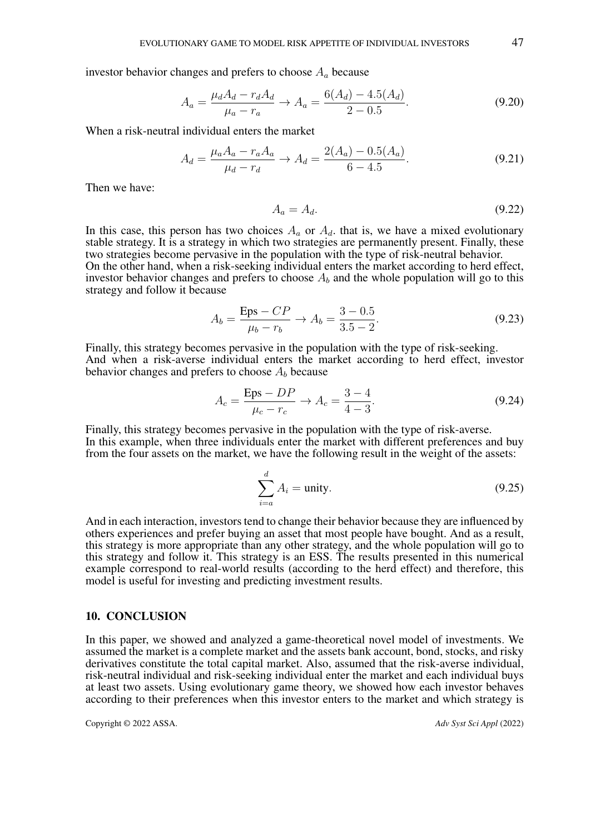investor behavior changes and prefers to choose  $A_a$  because

$$
A_a = \frac{\mu_d A_d - r_d A_d}{\mu_a - r_a} \to A_a = \frac{6(A_d) - 4.5(A_d)}{2 - 0.5}.
$$
 (9.20)

When a risk-neutral individual enters the market

$$
A_d = \frac{\mu_a A_a - r_a A_a}{\mu_d - r_d} \to A_d = \frac{2(A_a) - 0.5(A_a)}{6 - 4.5}.
$$
 (9.21)

Then we have:

$$
A_a = A_d. \tag{9.22}
$$

In this case, this person has two choices  $A_a$  or  $A_d$ , that is, we have a mixed evolutionary stable strategy. It is a strategy in which two strategies are permanently present. Finally, these two strategies become pervasive in the population with the type of risk-neutral behavior. On the other hand, when a risk-seeking individual enters the market according to herd effect,

investor behavior changes and prefers to choose  $A<sub>b</sub>$  and the whole population will go to this strategy and follow it because

$$
A_b = \frac{\text{Eps} - CP}{\mu_b - r_b} \to A_b = \frac{3 - 0.5}{3.5 - 2}.
$$
 (9.23)

Finally, this strategy becomes pervasive in the population with the type of risk-seeking. And when a risk-averse individual enters the market according to herd effect, investor behavior changes and prefers to choose  $A<sub>b</sub>$  because

$$
A_c = \frac{\text{Eps} - DP}{\mu_c - r_c} \to A_c = \frac{3 - 4}{4 - 3}.
$$
 (9.24)

Finally, this strategy becomes pervasive in the population with the type of risk-averse. In this example, when three individuals enter the market with different preferences and buy from the four assets on the market, we have the following result in the weight of the assets:

$$
\sum_{i=a}^{d} A_i = \text{unity.}
$$
 (9.25)

And in each interaction, investors tend to change their behavior because they are influenced by others experiences and prefer buying an asset that most people have bought. And as a result, this strategy is more appropriate than any other strategy, and the whole population will go to this strategy and follow it. This strategy is an ESS. The results presented in this numerical example correspond to real-world results (according to the herd effect) and therefore, this model is useful for investing and predicting investment results.

### <span id="page-12-0"></span>10. CONCLUSION

In this paper, we showed and analyzed a game-theoretical novel model of investments. We assumed the market is a complete market and the assets bank account, bond, stocks, and risky derivatives constitute the total capital market. Also, assumed that the risk-averse individual, risk-neutral individual and risk-seeking individual enter the market and each individual buys at least two assets. Using evolutionary game theory, we showed how each investor behaves according to their preferences when this investor enters to the market and which strategy is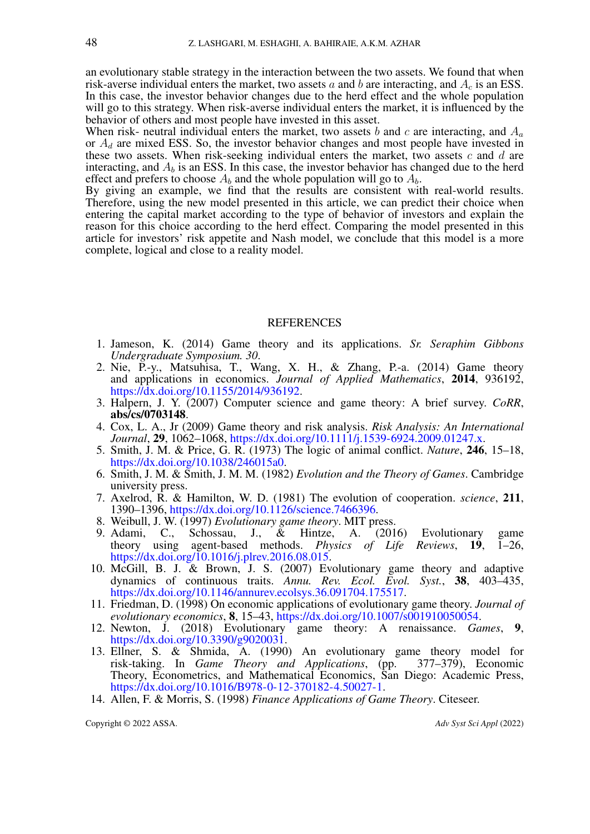an evolutionary stable strategy in the interaction between the two assets. We found that when risk-averse individual enters the market, two assets a and b are interacting, and  $A_c$  is an ESS. In this case, the investor behavior changes due to the herd effect and the whole population will go to this strategy. When risk-averse individual enters the market, it is influenced by the behavior of others and most people have invested in this asset.

When risk- neutral individual enters the market, two assets b and c are interacting, and  $A_a$ or  $A_d$  are mixed ESS. So, the investor behavior changes and most people have invested in these two assets. When risk-seeking individual enters the market, two assets  $c$  and  $d$  are interacting, and  $A_b$  is an ESS. In this case, the investor behavior has changed due to the herd effect and prefers to choose  $A_b$  and the whole population will go to  $A_b$ .

By giving an example, we find that the results are consistent with real-world results. Therefore, using the new model presented in this article, we can predict their choice when entering the capital market according to the type of behavior of investors and explain the reason for this choice according to the herd effect. Comparing the model presented in this article for investors' risk appetite and Nash model, we conclude that this model is a more complete, logical and close to a reality model.

#### **REFERENCES**

- <span id="page-13-0"></span>1. Jameson, K. (2014) Game theory and its applications. *Sr. Seraphim Gibbons Undergraduate Symposium. 30*.
- <span id="page-13-1"></span>2. Nie, P.-y., Matsuhisa, T., Wang, X. H., & Zhang, P.-a. (2014) Game theory and applications in economics. *Journal of Applied Mathematics*, 2014, 936192, [https://dx.doi.org/10.1155/2014/936192.](https://dx.doi.org/10.1155/2014/936192)
- <span id="page-13-2"></span>3. Halpern, J. Y. (2007) Computer science and game theory: A brief survey. *CoRR*, abs/cs/0703148.
- <span id="page-13-3"></span>4. Cox, L. A., Jr (2009) Game theory and risk analysis. *Risk Analysis: An International Journal*, 29, 1062–1068, [https://dx.doi.org/10.1111/j.1539-6924.2009.01247.x.](https://dx.doi.org/10.1111/j.1539-6924.2009.01247.x)
- <span id="page-13-4"></span>5. Smith, J. M. & Price, G. R. (1973) The logic of animal conflict. *Nature*, 246, 15–18, [https://dx.doi.org/10.1038/246015a0.](https://dx.doi.org/10.1038/246015a0)
- <span id="page-13-5"></span>6. Smith, J. M. & Smith, J. M. M. (1982) *Evolution and the Theory of Games*. Cambridge university press.
- 7. Axelrod, R. & Hamilton, W. D. (1981) The evolution of cooperation. *science*, 211, 1390–1396, [https://dx.doi.org/10.1126/science.7466396.](https://dx.doi.org/10.1126/science.7466396)
- <span id="page-13-6"></span>8. Weibull, J. W. (1997) *Evolutionary game theory*. MIT press.
- <span id="page-13-7"></span>9. Adami, C., Schossau, J., & Hintze, A. (2016) Evolutionary game theory using agent-based methods. *Physics of Life Reviews*, **19.** 1–26. theory using agent-based methods. Physics of Life Reviews, 19, [https://dx.doi.org/10.1016/j.plrev.2016.08.015.](https://dx.doi.org/10.1016/j.plrev.2016.08.015)
- <span id="page-13-8"></span>10. McGill, B. J. & Brown, J. S. (2007) Evolutionary game theory and adaptive dynamics of continuous traits. *Annu. Rev. Ecol. Evol. Syst.*, 38, 403–435, [https://dx.doi.org/10.1146/annurev.ecolsys.36.091704.175517.](https://dx.doi.org/10.1146/annurev.ecolsys.36.091704.175517)
- <span id="page-13-9"></span>11. Friedman, D. (1998) On economic applications of evolutionary game theory. *Journal of evolutionary economics*, 8, 15–43, [https://dx.doi.org/10.1007/s001910050054.](https://dx.doi.org/10.1007/s001910050054)
- <span id="page-13-10"></span>12. Newton, J. (2018) Evolutionary game theory: A renaissance. *Games*, 9, [https://dx.doi.org/10.3390/g9020031.](https://dx.doi.org/10.3390/g9020031)
- <span id="page-13-11"></span>13. Ellner, S. & Shmida, A. (1990) An evolutionary game theory model for risk-taking. In *Game Theory and Applications*, (pp. 377–379), Economic Theory, Econometrics, and Mathematical Economics, San Diego: Academic Press, [https://dx.doi.org/10.1016/B978-0-12-370182-4.50027-1.](https://dx.doi.org/10.1016/B978-0-12-370182-4.50027-1)
- <span id="page-13-12"></span>14. Allen, F. & Morris, S. (1998) *Finance Applications of Game Theory*. Citeseer.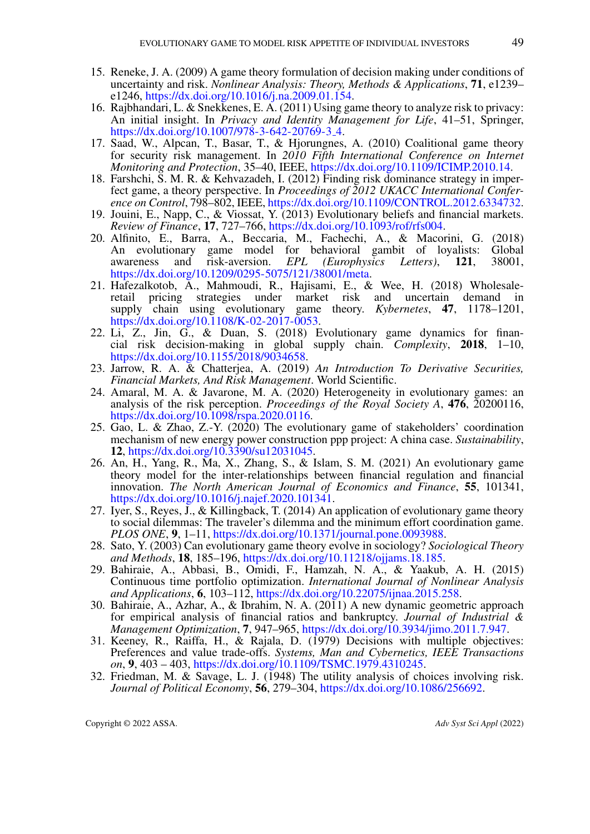- <span id="page-14-0"></span>15. Reneke, J. A. (2009) A game theory formulation of decision making under conditions of uncertainty and risk. *Nonlinear Analysis: Theory, Methods & Applications*, 71, e1239– e1246, [https://dx.doi.org/10.1016/j.na.2009.01.154.](https://dx.doi.org/10.1016/j.na.2009.01.154)
- <span id="page-14-1"></span>16. Rajbhandari, L. & Snekkenes, E. A. (2011) Using game theory to analyze risk to privacy: An initial insight. In *Privacy and Identity Management for Life*, 41–51, Springer, [https://dx.doi.org/10.1007/978-3-642-20769-3](https://dx.doi.org/10.1007/978-3-642-20769-3_4) 4.
- <span id="page-14-2"></span>17. Saad, W., Alpcan, T., Basar, T., & Hjorungnes, A. (2010) Coalitional game theory for security risk management. In *2010 Fifth International Conference on Internet Monitoring and Protection*, 35–40, IEEE, [https://dx.doi.org/10.1109/ICIMP.2010.14.](https://dx.doi.org/10.1109/ICIMP.2010.14)
- <span id="page-14-3"></span>18. Farshchi, S. M. R. & Kehvazadeh, I. (2012) Finding risk dominance strategy in imperfect game, a theory perspective. In *Proceedings of 2012 UKACC International Conference on Control*, 798–802, IEEE, [https://dx.doi.org/10.1109/CONTROL.2012.6334732.](https://dx.doi.org/10.1109/CONTROL.2012.6334732)
- <span id="page-14-4"></span>19. Jouini, E., Napp, C., & Viossat, Y. (2013) Evolutionary beliefs and financial markets. *Review of Finance*, 17, 727–766, [https://dx.doi.org/10.1093/rof/rfs004.](https://dx.doi.org/10.1093/rof/rfs004)
- <span id="page-14-5"></span>20. Alfinito, E., Barra, A., Beccaria, M., Fachechi, A., & Macorini, G. (2018) An evolutionary game model for behavioral gambit of loyalists: Global awareness and risk-aversion. *EPL (Europhysics Letters)*, 121, 38001, [https://dx.doi.org/10.1209/0295-5075/121/38001/meta.](https://dx.doi.org/10.1209/0295-5075/121/38001/meta)
- <span id="page-14-6"></span>21. Hafezalkotob, A., Mahmoudi, R., Hajisami, E., & Wee, H. (2018) Wholesaleretail pricing strategies under market risk and uncertain demand in supply chain using evolutionary game theory. *Kybernetes*, 47, 1178–1201, [https://dx.doi.org/10.1108/K-02-2017-0053.](https://dx.doi.org/10.1108/K-02-2017-0053)
- <span id="page-14-7"></span>22. Li, Z., Jin, G., & Duan, S. (2018) Evolutionary game dynamics for financial risk decision-making in global supply chain. *Complexity*, 2018, 1–10, [https://dx.doi.org/10.1155/2018/9034658.](https://dx.doi.org/10.1155/2018/9034658)
- <span id="page-14-8"></span>23. Jarrow, R. A. & Chatterjea, A. (2019) *An Introduction To Derivative Securities, Financial Markets, And Risk Management*. World Scientific.
- <span id="page-14-9"></span>24. Amaral, M. A. & Javarone, M. A. (2020) Heterogeneity in evolutionary games: an analysis of the risk perception. *Proceedings of the Royal Society A*, 476, 20200116, [https://dx.doi.org/10.1098/rspa.2020.0116.](https://dx.doi.org/10.1098/rspa.2020.0116)
- <span id="page-14-10"></span>25. Gao, L. & Zhao, Z.-Y. (2020) The evolutionary game of stakeholders' coordination mechanism of new energy power construction ppp project: A china case. *Sustainability*, 12, [https://dx.doi.org/10.3390/su12031045.](https://dx.doi.org/10.3390/su12031045)
- <span id="page-14-11"></span>26. An, H., Yang, R., Ma, X., Zhang, S., & Islam, S. M. (2021) An evolutionary game theory model for the inter-relationships between financial regulation and financial innovation. *The North American Journal of Economics and Finance*, 55, 101341, [https://dx.doi.org/10.1016/j.najef.2020.101341.](https://dx.doi.org/10.1016/j.najef.2020.101341)
- <span id="page-14-12"></span>27. Iyer, S., Reyes, J., & Killingback, T. (2014) An application of evolutionary game theory to social dilemmas: The traveler's dilemma and the minimum effort coordination game. *PLOS ONE*, 9, 1–11, [https://dx.doi.org/10.1371/journal.pone.0093988.](https://dx.doi.org/10.1371/journal.pone.0093988)
- <span id="page-14-13"></span>28. Sato, Y. (2003) Can evolutionary game theory evolve in sociology? *Sociological Theory and Methods*, 18, 185–196, [https://dx.doi.org/10.11218/ojjams.18.185.](https://dx.doi.org/10.11218/ojjams.18.185)
- <span id="page-14-14"></span>29. Bahiraie, A., Abbasi, B., Omidi, F., Hamzah, N. A., & Yaakub, A. H. (2015) Continuous time portfolio optimization. *International Journal of Nonlinear Analysis and Applications*, 6, 103–112, [https://dx.doi.org/10.22075/ijnaa.2015.258.](https://dx.doi.org/10.22075/ijnaa.2015.258)
- <span id="page-14-15"></span>30. Bahiraie, A., Azhar, A., & Ibrahim, N. A. (2011) A new dynamic geometric approach for empirical analysis of financial ratios and bankruptcy. *Journal of Industrial & Management Optimization*, 7, 947–965, [https://dx.doi.org/10.3934/jimo.2011.7.947.](https://dx.doi.org/10.3934/jimo.2011.7.947)
- <span id="page-14-16"></span>31. Keeney, R., Raiffa, H., & Rajala, D. (1979) Decisions with multiple objectives: Preferences and value trade-offs. *Systems, Man and Cybernetics, IEEE Transactions on*, 9, 403 – 403, [https://dx.doi.org/10.1109/TSMC.1979.4310245.](https://dx.doi.org/10.1109/TSMC.1979.4310245)
- 32. Friedman, M. & Savage, L. J. (1948) The utility analysis of choices involving risk. *Journal of Political Economy*, 56, 279–304, [https://dx.doi.org/10.1086/256692.](https://dx.doi.org/10.1086/256692)